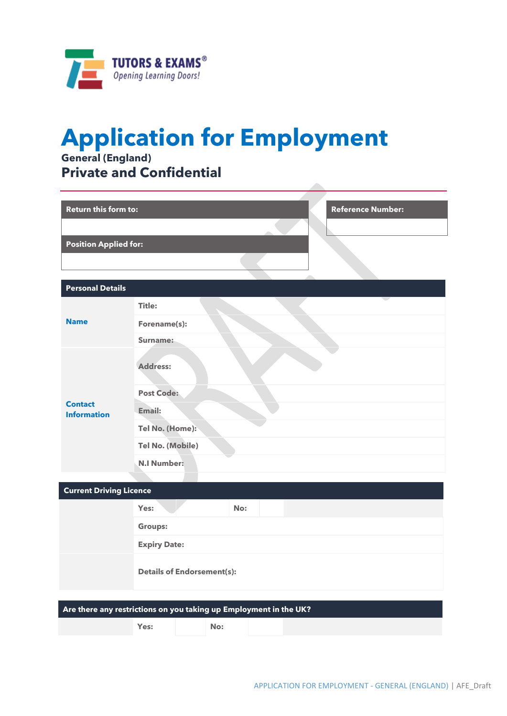

# **Application for Employment**

**General (England) Private and Confidential**

| <b>Return this form to:</b>          | <b>Reference Number:</b>                                          |
|--------------------------------------|-------------------------------------------------------------------|
| <b>Position Applied for:</b>         |                                                                   |
| <b>Personal Details</b>              |                                                                   |
|                                      | <b>Title:</b>                                                     |
| <b>Name</b>                          | Forename(s):                                                      |
|                                      | Surname:                                                          |
|                                      | <b>Address:</b>                                                   |
|                                      | <b>Post Code:</b>                                                 |
| <b>Contact</b><br><b>Information</b> | Email:                                                            |
|                                      | Tel No. (Home):                                                   |
|                                      | Tel No. (Mobile)                                                  |
|                                      | <b>N.I Number:</b>                                                |
|                                      |                                                                   |
| <b>Current Driving Licence</b>       |                                                                   |
|                                      | Yes:<br>No:                                                       |
|                                      | <b>Groups:</b>                                                    |
|                                      | <b>Expiry Date:</b>                                               |
|                                      | <b>Details of Endorsement(s):</b>                                 |
|                                      | Are there any restrictions on you taking up Employment in the UK? |
|                                      | Yes:<br>No:                                                       |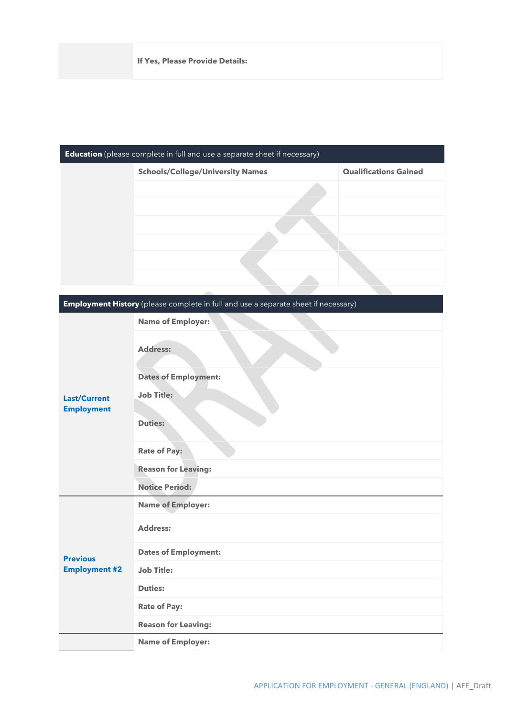| <b>Education</b> (please complete in full and use a separate sheet if necessary) |                                         |                              |  |  |
|----------------------------------------------------------------------------------|-----------------------------------------|------------------------------|--|--|
|                                                                                  | <b>Schools/College/University Names</b> | <b>Qualifications Gained</b> |  |  |
|                                                                                  |                                         |                              |  |  |
|                                                                                  |                                         |                              |  |  |
|                                                                                  |                                         |                              |  |  |
|                                                                                  |                                         |                              |  |  |
|                                                                                  |                                         |                              |  |  |
|                                                                                  |                                         |                              |  |  |
|                                                                                  |                                         |                              |  |  |

| Employment History (please complete in full and use a separate sheet if necessary) |                             |  |
|------------------------------------------------------------------------------------|-----------------------------|--|
|                                                                                    | <b>Name of Employer:</b>    |  |
|                                                                                    | Address:                    |  |
|                                                                                    | <b>Dates of Employment:</b> |  |
| <b>Last/Current</b>                                                                | <b>Job Title:</b>           |  |
| <b>Employment</b>                                                                  | <b>Duties:</b>              |  |
|                                                                                    | <b>Rate of Pay:</b>         |  |
|                                                                                    | <b>Reason for Leaving:</b>  |  |
|                                                                                    | <b>Notice Period:</b>       |  |
|                                                                                    | <b>Name of Employer:</b>    |  |
| <b>Previous</b><br><b>Employment #2</b>                                            | <b>Address:</b>             |  |
|                                                                                    | <b>Dates of Employment:</b> |  |
|                                                                                    | <b>Job Title:</b>           |  |
|                                                                                    | <b>Duties:</b>              |  |
|                                                                                    | <b>Rate of Pay:</b>         |  |
|                                                                                    | <b>Reason for Leaving:</b>  |  |
|                                                                                    | <b>Name of Employer:</b>    |  |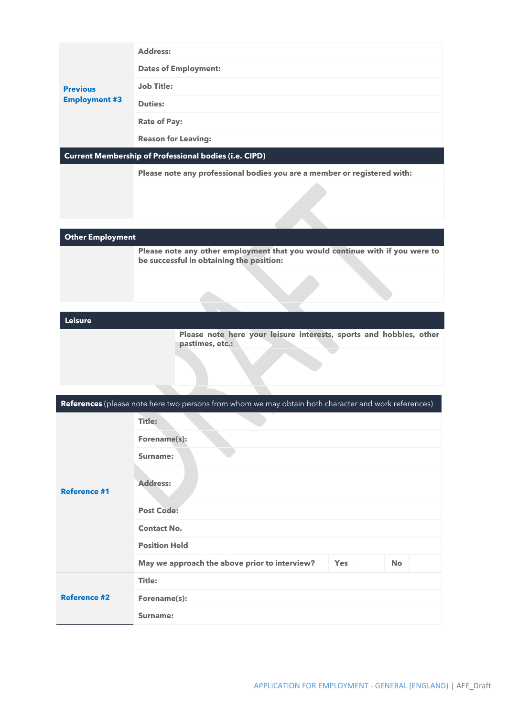|                                                              | <b>Address:</b>             |  |
|--------------------------------------------------------------|-----------------------------|--|
| <b>Previous</b><br><b>Employment #3</b>                      | <b>Dates of Employment:</b> |  |
|                                                              | <b>Job Title:</b>           |  |
|                                                              | <b>Duties:</b>              |  |
|                                                              | <b>Rate of Pay:</b>         |  |
|                                                              | <b>Reason for Leaving:</b>  |  |
| <b>Current Membership of Professional bodies (i.e. CIPD)</b> |                             |  |

**Please note any professional bodies you are a member or registered with:**

**Other Employment**

**Please note any other employment that you would continue with if you were to be successful in obtaining the position:**

# **Leisure**

**Please note here your leisure interests, sports and hobbies, other pastimes, etc.:**

| References (please note here two persons from whom we may obtain both character and work references) |                                               |            |           |  |  |
|------------------------------------------------------------------------------------------------------|-----------------------------------------------|------------|-----------|--|--|
| <b>Reference #1</b>                                                                                  | Title:                                        |            |           |  |  |
|                                                                                                      | Forename(s):                                  |            |           |  |  |
|                                                                                                      | Surname:                                      |            |           |  |  |
|                                                                                                      | <b>Address:</b>                               |            |           |  |  |
|                                                                                                      | <b>Post Code:</b>                             |            |           |  |  |
|                                                                                                      | <b>Contact No.</b>                            |            |           |  |  |
|                                                                                                      | <b>Position Held</b>                          |            |           |  |  |
|                                                                                                      | May we approach the above prior to interview? | <b>Yes</b> | <b>No</b> |  |  |
| <b>Reference #2</b>                                                                                  | Title:                                        |            |           |  |  |
|                                                                                                      | Forename(s):                                  |            |           |  |  |
|                                                                                                      | Surname:                                      |            |           |  |  |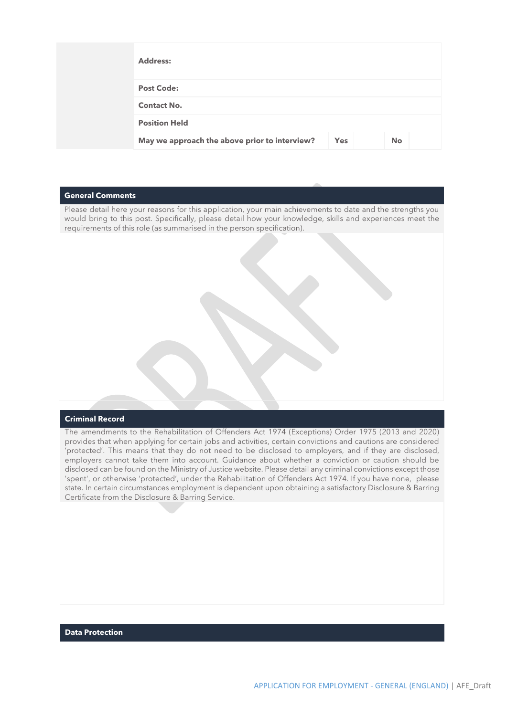| <b>Address:</b>                               |            |           |  |
|-----------------------------------------------|------------|-----------|--|
| <b>Post Code:</b>                             |            |           |  |
| <b>Contact No.</b>                            |            |           |  |
| <b>Position Held</b>                          |            |           |  |
| May we approach the above prior to interview? | <b>Yes</b> | <b>No</b> |  |

## **General Comments**

Please detail here your reasons for this application, your main achievements to date and the strengths you would bring to this post. Specifically, please detail how your knowledge, skills and experiences meet the requirements of this role (as summarised in the person specification).

# **Criminal Record**

The amendments to the Rehabilitation of Offenders Act 1974 (Exceptions) Order 1975 (2013 and 2020) provides that when applying for certain jobs and activities, certain convictions and cautions are considered 'protected'. This means that they do not need to be disclosed to employers, and if they are disclosed, employers cannot take them into account. Guidance about whether a conviction or caution should be disclosed can be found on the Ministry of Justice website. Please detail any criminal convictions except those 'spent', or otherwise 'protected', under the Rehabilitation of Offenders Act 1974. If you have none, please state. In certain circumstances employment is dependent upon obtaining a satisfactory Disclosure & Barring Certificate from the Disclosure & Barring Service.

### **Data Protection**